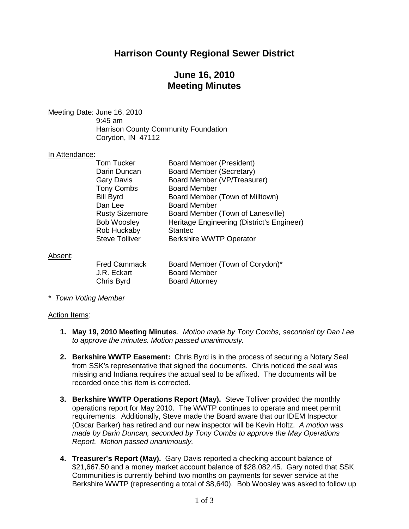# **Harrison County Regional Sewer District**

# **June 16, 2010 Meeting Minutes**

Meeting Date: June 16, 2010 9:45 am Harrison County Community Foundation Corydon, IN 47112

### In Attendance:

| <b>Tom Tucker</b>     | <b>Board Member (President)</b>            |
|-----------------------|--------------------------------------------|
| Darin Duncan          | Board Member (Secretary)                   |
| <b>Gary Davis</b>     | Board Member (VP/Treasurer)                |
| <b>Tony Combs</b>     | <b>Board Member</b>                        |
| <b>Bill Byrd</b>      | Board Member (Town of Milltown)            |
| Dan Lee               | <b>Board Member</b>                        |
| <b>Rusty Sizemore</b> | Board Member (Town of Lanesville)          |
| <b>Bob Woosley</b>    | Heritage Engineering (District's Engineer) |
| <b>Rob Huckaby</b>    | <b>Stantec</b>                             |
| <b>Steve Tolliver</b> | <b>Berkshire WWTP Operator</b>             |
|                       |                                            |

#### Absent:

| <b>Fred Cammack</b> | Board Member (Town of Corydon)* |
|---------------------|---------------------------------|
| J.R. Eckart         | <b>Board Member</b>             |
| Chris Byrd          | <b>Board Attorney</b>           |

*\* Town Voting Member*

#### Action Items:

- **1. May 19, 2010 Meeting Minutes**. *Motion made by Tony Combs, seconded by Dan Lee to approve the minutes. Motion passed unanimously.*
- **2. Berkshire WWTP Easement:** Chris Byrd is in the process of securing a Notary Seal from SSK's representative that signed the documents. Chris noticed the seal was missing and Indiana requires the actual seal to be affixed. The documents will be recorded once this item is corrected.
- **3. Berkshire WWTP Operations Report (May).** Steve Tolliver provided the monthly operations report for May 2010. The WWTP continues to operate and meet permit requirements. Additionally, Steve made the Board aware that our IDEM Inspector (Oscar Barker) has retired and our new inspector will be Kevin Holtz. *A motion was made by Darin Duncan, seconded by Tony Combs to approve the May Operations Report. Motion passed unanimously.*
- **4. Treasurer's Report (May).** Gary Davis reported a checking account balance of \$21,667.50 and a money market account balance of \$28,082.45. Gary noted that SSK Communities is currently behind two months on payments for sewer service at the Berkshire WWTP (representing a total of \$8,640). Bob Woosley was asked to follow up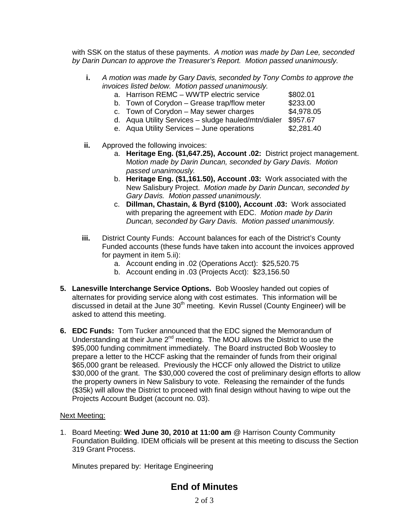with SSK on the status of these payments. *A motion was made by Dan Lee, seconded by Darin Duncan to approve the Treasurer's Report. Motion passed unanimously.*

- **i.** *A motion was made by Gary Davis, seconded by Tony Combs to approve the invoices listed below. Motion passed unanimously.*
	- a. Harrison REMC WWTP electric service \$802.01
	- b. Town of Corydon Grease trap/flow meter  $$233.00$
	- c. Town of Corydon May sewer charges  $$4,978.05$
	- d. Aqua Utility Services sludge hauled/mtn/dialer \$957.67
	- e. Aqua Utility Services June operations
- **ii.** Approved the following invoices:
	- a. **Heritage Eng. (\$1,647.25), Account .02:** District project management. M*otion made by Darin Duncan, seconded by Gary Davis. Motion passed unanimously.*
	- b. **Heritage Eng. (\$1,161.50), Account .03:** Work associated with the New Salisbury Project. *Motion made by Darin Duncan, seconded by Gary Davis. Motion passed unanimously.*
	- c. **Dillman, Chastain, & Byrd (\$100), Account .03:** Work associated with preparing the agreement with EDC. *Motion made by Darin Duncan, seconded by Gary Davis. Motion passed unanimously.*
- **iii.** District County Funds: Account balances for each of the District's County Funded accounts (these funds have taken into account the invoices approved for payment in item 5.ii):
	- a. Account ending in .02 (Operations Acct): \$25,520.75
	- b. Account ending in .03 (Projects Acct): \$23,156.50
- **5. Lanesville Interchange Service Options.** Bob Woosley handed out copies of alternates for providing service along with cost estimates. This information will be discussed in detail at the June  $30<sup>th</sup>$  meeting. Kevin Russel (County Engineer) will be asked to attend this meeting.
- **6. EDC Funds:** Tom Tucker announced that the EDC signed the Memorandum of Understanding at their June 2<sup>nd</sup> meeting. The MOU allows the District to use the \$95,000 funding commitment immediately. The Board instructed Bob Woosley to prepare a letter to the HCCF asking that the remainder of funds from their original \$65,000 grant be released. Previously the HCCF only allowed the District to utilize \$30,000 of the grant. The \$30,000 covered the cost of preliminary design efforts to allow the property owners in New Salisbury to vote. Releasing the remainder of the funds (\$35k) will allow the District to proceed with final design without having to wipe out the Projects Account Budget (account no. 03).

### Next Meeting:

1. Board Meeting: **Wed June 30, 2010 at 11:00 am** @ Harrison County Community Foundation Building. IDEM officials will be present at this meeting to discuss the Section 319 Grant Process.

Minutes prepared by: Heritage Engineering